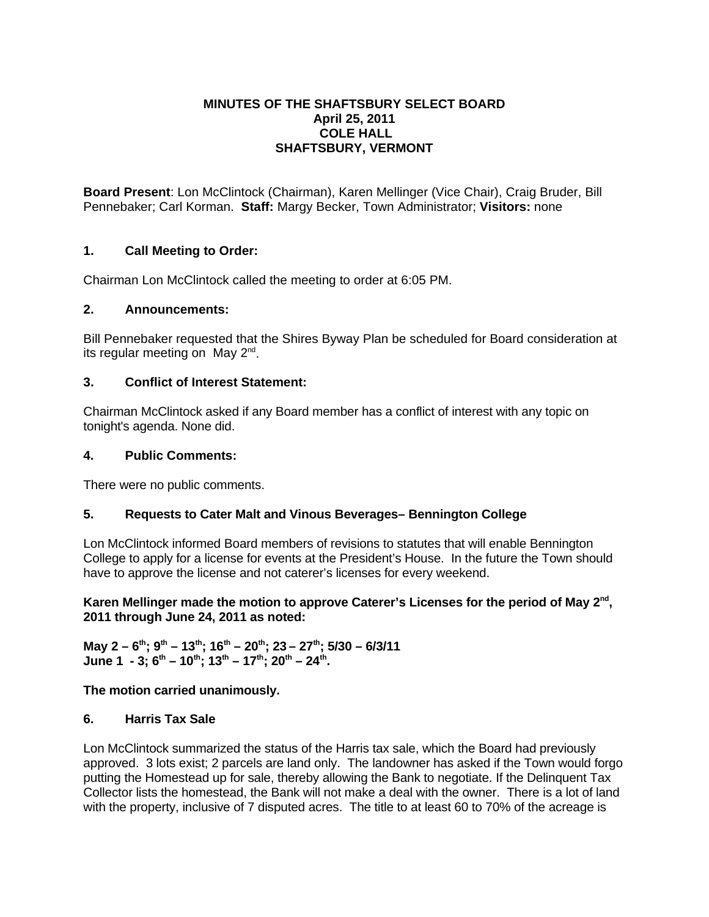# **MINUTES OF THE SHAFTSBURY SELECT BOARD April 25, 2011 COLE HALL SHAFTSBURY, VERMONT**

**Board Present**: Lon McClintock (Chairman), Karen Mellinger (Vice Chair), Craig Bruder, Bill Pennebaker; Carl Korman. **Staff:** Margy Becker, Town Administrator; **Visitors:** none

# **1. Call Meeting to Order:**

Chairman Lon McClintock called the meeting to order at 6:05 PM.

## **2. Announcements:**

Bill Pennebaker requested that the Shires Byway Plan be scheduled for Board consideration at its regular meeting on May  $2^{nd}$ .

## **3. Conflict of Interest Statement:**

Chairman McClintock asked if any Board member has a conflict of interest with any topic on tonight's agenda. None did.

### **4. Public Comments:**

There were no public comments.

# **5. Requests to Cater Malt and Vinous Beverages– Bennington College**

Lon McClintock informed Board members of revisions to statutes that will enable Bennington College to apply for a license for events at the President's House. In the future the Town should have to approve the license and not caterer's licenses for every weekend.

## Karen Mellinger made the motion to approve Caterer's Licenses for the period of May 2<sup>nd</sup>, **2011 through June 24, 2011 as noted:**

**May 2 – 6th; 9th – 13th; 16th – 20th; 23 – 27th; 5/30 – 6/3/11** June 1 - 3;  $6^{th}$  – 10<sup>th</sup>; 13<sup>th</sup> – 17<sup>th</sup>; 20<sup>th</sup> – 24<sup>th</sup>.

#### **The motion carried unanimously.**

#### **6. Harris Tax Sale**

Lon McClintock summarized the status of the Harris tax sale, which the Board had previously approved. 3 lots exist; 2 parcels are land only. The landowner has asked if the Town would forgo putting the Homestead up for sale, thereby allowing the Bank to negotiate. If the Delinquent Tax Collector lists the homestead, the Bank will not make a deal with the owner. There is a lot of land with the property, inclusive of 7 disputed acres. The title to at least 60 to 70% of the acreage is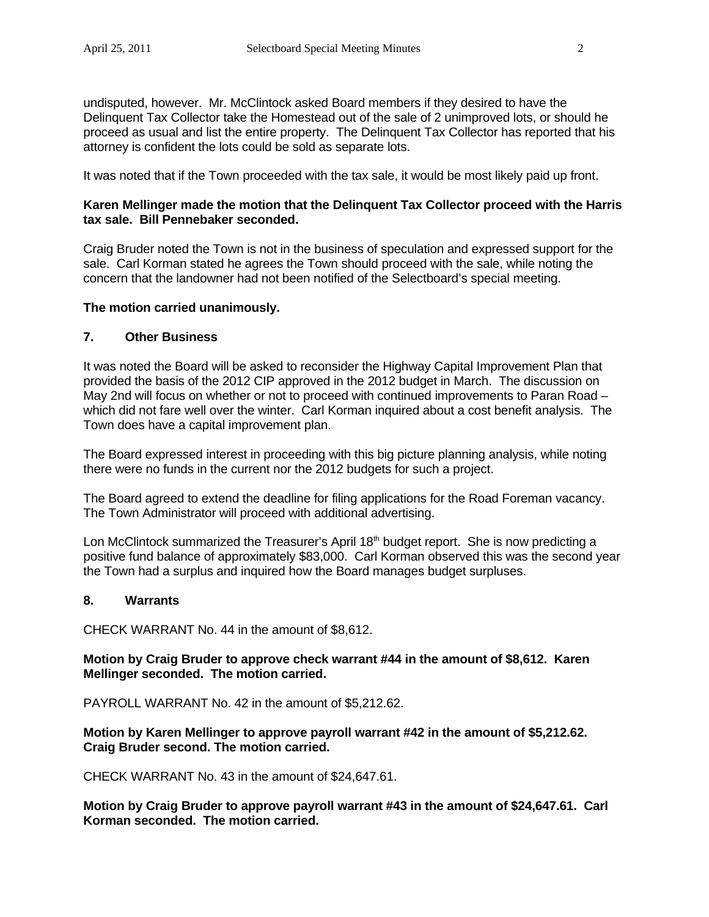undisputed, however. Mr. McClintock asked Board members if they desired to have the Delinquent Tax Collector take the Homestead out of the sale of 2 unimproved lots, or should he proceed as usual and list the entire property. The Delinquent Tax Collector has reported that his attorney is confident the lots could be sold as separate lots.

It was noted that if the Town proceeded with the tax sale, it would be most likely paid up front.

## **Karen Mellinger made the motion that the Delinquent Tax Collector proceed with the Harris tax sale. Bill Pennebaker seconded.**

Craig Bruder noted the Town is not in the business of speculation and expressed support for the sale. Carl Korman stated he agrees the Town should proceed with the sale, while noting the concern that the landowner had not been notified of the Selectboard's special meeting.

#### **The motion carried unanimously.**

## **7. Other Business**

It was noted the Board will be asked to reconsider the Highway Capital Improvement Plan that provided the basis of the 2012 CIP approved in the 2012 budget in March. The discussion on May 2nd will focus on whether or not to proceed with continued improvements to Paran Road – which did not fare well over the winter. Carl Korman inquired about a cost benefit analysis. The Town does have a capital improvement plan.

The Board expressed interest in proceeding with this big picture planning analysis, while noting there were no funds in the current nor the 2012 budgets for such a project.

The Board agreed to extend the deadline for filing applications for the Road Foreman vacancy. The Town Administrator will proceed with additional advertising.

Lon McClintock summarized the Treasurer's April  $18<sup>th</sup>$  budget report. She is now predicting a positive fund balance of approximately \$83,000. Carl Korman observed this was the second year the Town had a surplus and inquired how the Board manages budget surpluses.

#### **8. Warrants**

CHECK WARRANT No. 44 in the amount of \$8,612.

## **Motion by Craig Bruder to approve check warrant #44 in the amount of \$8,612. Karen Mellinger seconded. The motion carried.**

PAYROLL WARRANT No. 42 in the amount of \$5,212.62.

## **Motion by Karen Mellinger to approve payroll warrant #42 in the amount of \$5,212.62. Craig Bruder second. The motion carried.**

CHECK WARRANT No. 43 in the amount of \$24,647.61.

**Motion by Craig Bruder to approve payroll warrant #43 in the amount of \$24,647.61. Carl Korman seconded. The motion carried.**